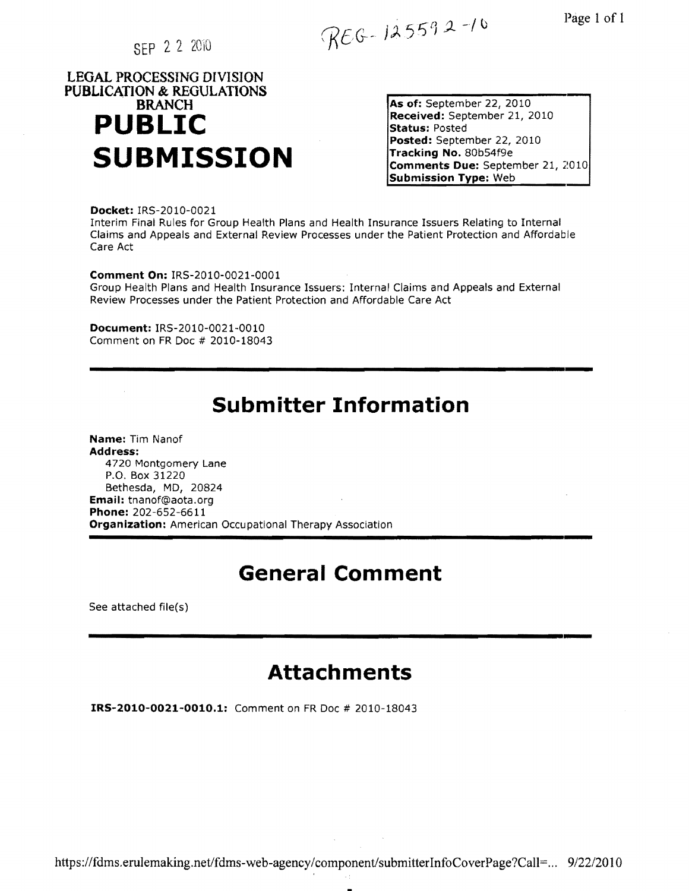SEP 2 2 2010

 $REG-125592-10$ 

# **LEGAL PROCESSING DIVISION PUBLiCATION & REGULATIONS**  . **BRANCH PUBLIC**

**As of:** September 22, 2010 **Received:** September 21, 2010 **Status:** Posted **Posted:** September 22, 2010 **Tracking No.** 80b54fge **SUBMISSION Comments Due:** September 21, 2010 **Submission Type:** Web

**Docket:** IRS-2010-0021 Interim Final Rules for Group Health Plans and Health Insurance Issuers Relating to Internal Claims and Appeals and External Review Processes under the Patient Protection and Affordable Care Act

**Comment On:** IRS-2010-0021-0001 Group Health Plans and Health Insurance Issuers: Internal Claims and Appeals and External Review Processes under the Patient Protection and Affordable Care Act

**Document:** IRS-2010-0021-0010 Comment on FR Doc # 2010-18043

# **Submitter Information**

**-------------------------------------------------------------------**

**Name:** Tim Nanof **Address:** 4720 Montgomery Lane P.O. Box 31220 Bethesda, MD, 20824 **Email:** tnanof@aota.org **Phone:** 202-652-6611 **Organization:** American Occupational Therapy Association

### **General Comment**

See attached file(s)

# **Attachments**

**---------------------------------------------------------------,---**

**IRS-2010-0021-0010.1:** Comment on FR Doc # 2010-18043

https://fdms.erulemaking.net/fdms-web-agency/component/submitterInfoCoverPage?Call=... 9/22/2010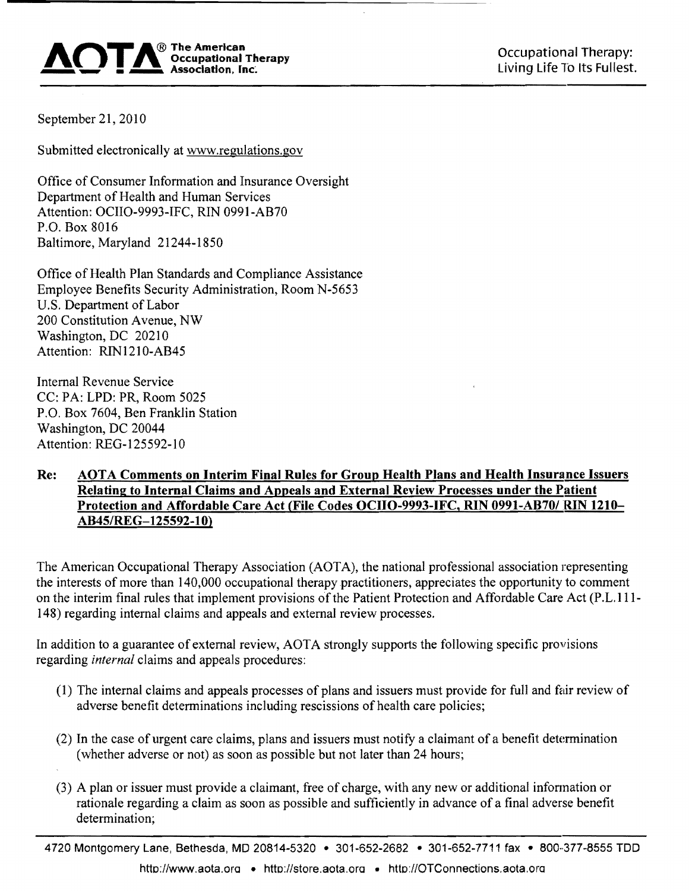

September 21, 2010

Submitted electronically at www.regulations.gov

Office of Consumer Information and Insurance Oversight Department of Health and Human Services Attention: OCIIO-9993-IFC, RIN 0991-AB70 P.O. Box 8016 Baltimore, Maryland 21244-1850

Office of Health Plan Standards and Compliance Assistance Employee Benefits Security Administration, Room N-5653 U.S. Department of Labor 200 Constitution Avenue, NW Washington, DC 20210 Attention: RIN121O-AB45

Internal Revenue Service CC: PA: LPD: PR, Room 5025 P.O. Box 7604, Ben Franklin Station Washington, DC 20044 Attention: REG-125592-10

#### Re: AOTA Comments on Interim Final Rules for Group Health Plans and Health Insurance Issuers Relating to Internal Claims and Appeals and External Review Processes under the Patient Protection and Affordable Care Act (File Codes OCIIO-9993-IFC, RIN 0991-AB70/ RIN 1210-AB45/REG-125592-10)

The American Occupational Therapy Association (AOTA), the national professional association representing the interests of more than 140,000 occupational therapy practitioners, appreciates the opportunity to comment on the interim final rules that implement provisions of the Patient Protection and Affordable Care Act (P.L.111-148) regarding internal claims and appeals and external review processes.

In addition to a guarantee of external review, AOTA strongly supports the following specific provisions regarding *internal* claims and appeals procedures:

- (1) The internal claims and appeals processes of plans and issuers must provide for full and fair review of adverse benefit determinations including rescissions of health care policies;
- (2) In the case of urgent care claims, plans and issuers must notify a claimant of a benefit determination (whether adverse or not) as soon as possible but not later than 24 hours;
- (3) A plan or issuer must provide a claimant, free of charge, with any new or additional infonnation or rationale regarding a claim as soon as possible and sufficiently in advance of a final adverse benefit determination;

4720 Montgomery Lane, Bethesda, MO 20814-5320 • 301-652-2682 • 301-652-7711 fax • 800··377-8555 TOO http://www.aota.org • http://store.aota.org • http://OTConnections.aota.org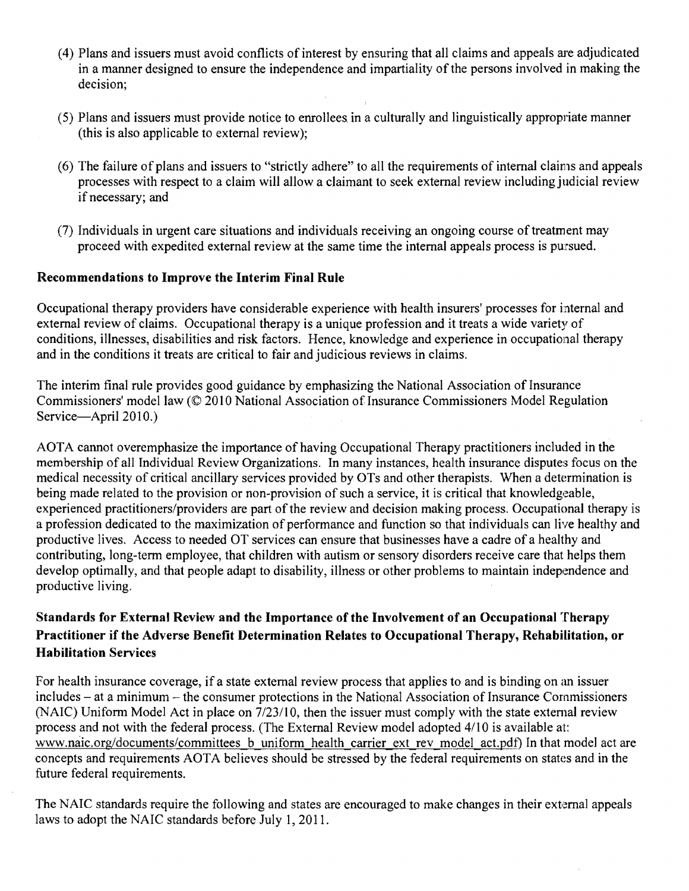- (4) Plans and issuers must avoid conflicts of interest by ensuring that all claims and appeals are adjudicated in a manner designed to ensure the independence and impartiality of the persons involved in making the decision;
- (5) Plans and issuers must provide notice to enrollees in a culturally and linguistically appropriate manner (this is also applicable to external review);
- (6) The failure of plans and issuers to "strictly adhere" to all the requirements of internal claims and appeals processes with respect to a claim will allow a claimant to seek external review including judicial review if necessary; and
- (7) Individuals in urgent care situations and individuals receiving an ongoing course of treatment may proceed with expedited external review at the same time the internal appeals process is pursued.

#### Recommendations to Improve the Interim Final Rule

Occupational therapy providers have considerable experience with health insurers' processes for internal and external review of claims. Occupational therapy is a unique profession and it treats a wide variety of conditions, illnesses, disabilities and risk factors. Hence, knowledge and experience in occupational therapy and in the conditions it treats are critical to fair and judicious reviews in claims.

The interim final rule provides good guidance by emphasizing the National Association of Insurance Commissioners' model law (© 2010 National Association of Insurance Commissioners Model Regulation Service-April 2010.)

AOTA cannot overemphasize the importance of having Occupational Therapy practitioners included in the membership of all Individual Review Organizations. In many instances, health insurance disputes focus on the medical necessity of critical ancillary services provided by OTs and other therapists. When a determination is being made related to the provision or non-provision of such a service, it is critical that knowledgeable, experienced practitioners/providers are part of the review and decision making process. Occupational therapy is a profession dedicated to the maximization of performance and function so that individuals can live healthy and productive lives. Access to needed OT services can ensure that businesses have a cadre of a healthy and contributing, long-term employee, that children with autism or sensory disorders receive care that helps them develop optimally, and that people adapt to disability, illness or other problems to maintain independence and productive living.

### Standards for External Review and the Importance of the Involvement of an Occupational Therapy Practitioner if the Adverse Benefit Determination Relates to Occupational Therapy, Rehabilitation, or Habilitation Services

For health insurance coverage, if a state external review process that applies to and is binding on an issuer includes - at a minimum - the consumer protections in the National Association of Insurance Commissioners (NAIC) Uniform Model Act in place on 7/23/10, then the issuer must comply with the state external review process and not with the federal process. (The External Review model adopted 4/10 is available at: www.naic.org/documents/committees b uniform health carrier ext rev model act.pdf) In that model act are concepts and requirements AOTA believes should be stressed by the federal requirements on states and in the future federal requirements.

The NAIC standards require the following and states are encouraged to make changes in their external appeals laws to adopt the NAIC standards before July 1,2011.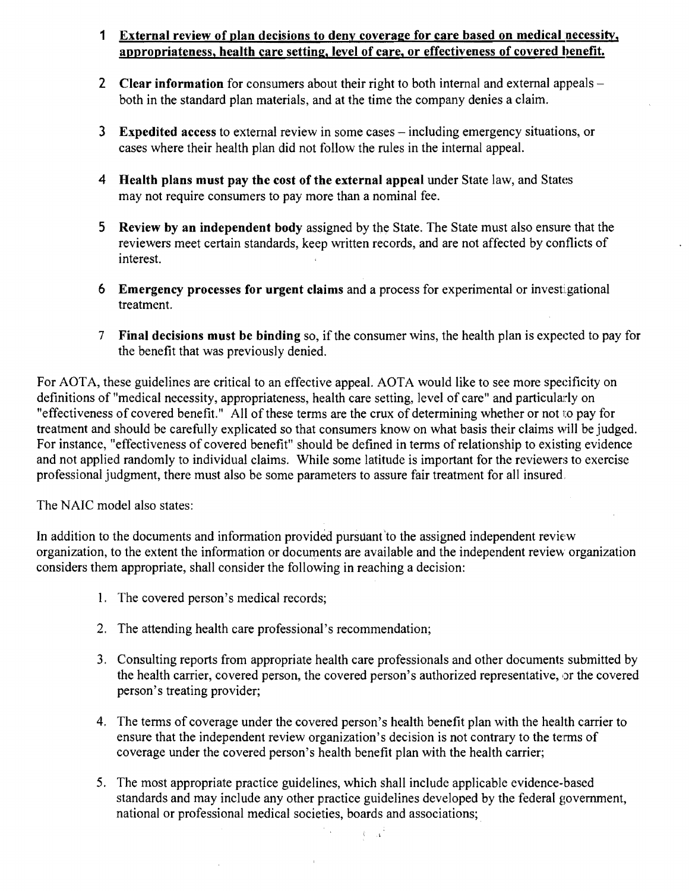### 1 External review of plan decisions to deny coverage for care based on medical necessity, appropriateness, health care setting, level of care, or effectiveness of covered benefit.

- 2 Clear information for consumers about their right to both internal and external appeals both in the standard plan materials, and at the time the company denies a claim.
- 3 Expedited access to external review in some cases including emergency situations, or cases where their health plan did not follow the rules in the internal appeal.
- 4 Health plans must pay the cost of the external appeal under State law, and States may not require consumers to pay more than a nominal fee.
- 5 Review by an independent body assigned by the State. The State must also ensure that the reviewers meet certain standards, keep written records, and are not affected by conflicts of interest.
- 6 Emergency processes for urgent claims and a process for experimental or investigational treatment.
- 7 Final decisions must be binding so, if the consumer wins, the health plan is expected to pay for the benefit that was previously denied.

For AOTA, these guidelines are critical to an effective appeal. AOTA would like to see more specificity on definitions of "medical necessity, appropriateness, health care setting, level of care" and particularly on "effectiveness of covered benefit." All of these terms are the crux of determining whether or not to pay for treatment and should be carefully explicated so that consumers know on what basis their claims will be judged. For instance, "effectiveness of covered benefit" should be defined in terms of relationship to existing evidence and not applied randomly to individual claims. While some latitude is important for the reviewers to exercise professional judgment, there must also be some parameters to assure fair treatment for all insured,

The NAIC model also states:

In addition to the documents and information provided pursuant'to the assigned independent review organization, to the extent the information or documents are available and the independent review organization considers them appropriate, shall consider the following in reaching a decision:

- 1. The covered person's medical records;
- 2. The attending health care professional's recommendation;
- 3. Consulting reports from appropriate health care professionals and other documents submitted by the health carrier, covered person, the covered person's authorized representative, or the covered person's treating provider;
- 4. The terms of coverage under the covered person's health benefit plan with the health carrier to ensure that the independent review organization's decision is not contrary to the tenns of coverage under the covered person's health benefit plan with the health carrier;
- 5. The most appropriate practice guidelines, which shall include applicable evidence-based standards and may include any other practice guidelines developed by the federal government, national or professional medical societies, boards and associations; ,

 $\hat{\mathbf{t}} = \mathbf{x}^{\mathrm{T}}$